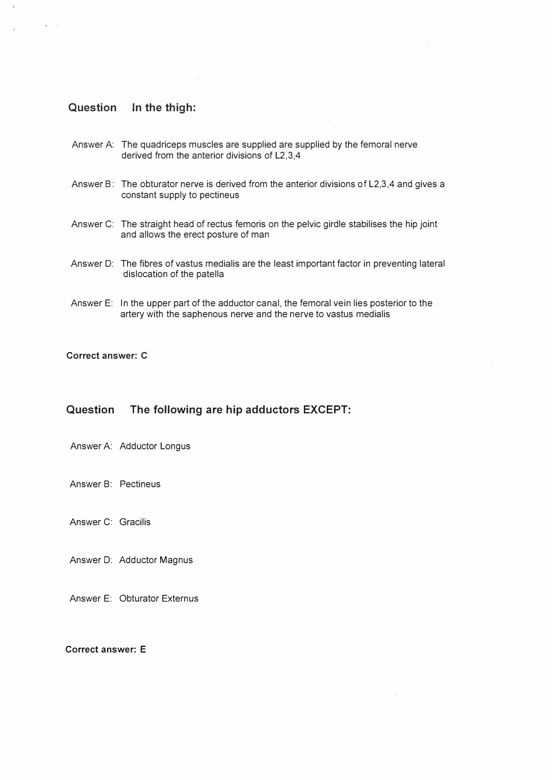# Question In the thigh:

 $\mathbf{r}$ 

- Answer A: The quadriceps muscles are supplied are supplied by the femoral nerve derived from the anterior divisions of L2, 3,4
- Answer B: The obturator nerve is derived from the anterior divisions of L2,3, 4 and gives a constant supply to pectineus
- Answer C: The straight head of rectus femoris on the pelvic girdle stabilises the hip joint and allows the erect posture of man
- Answer 0: The fibres of vastus medialis are the least important factor in preventing lateral dislocation of the patella
- Answer E: In the upper part of the adductor canal, the femoral vein lies posterior to the artery with the saphenous nerve and the nerve to vastus medialis

### Correct answer: C

### Question The following are hip adductors EXCEPT:

- Answer A: Adductor Longus
- Answer B: Pectineus

Answer C: Gracilis

Answer 0: Adductor Magnus

Answer E: Obturator Externus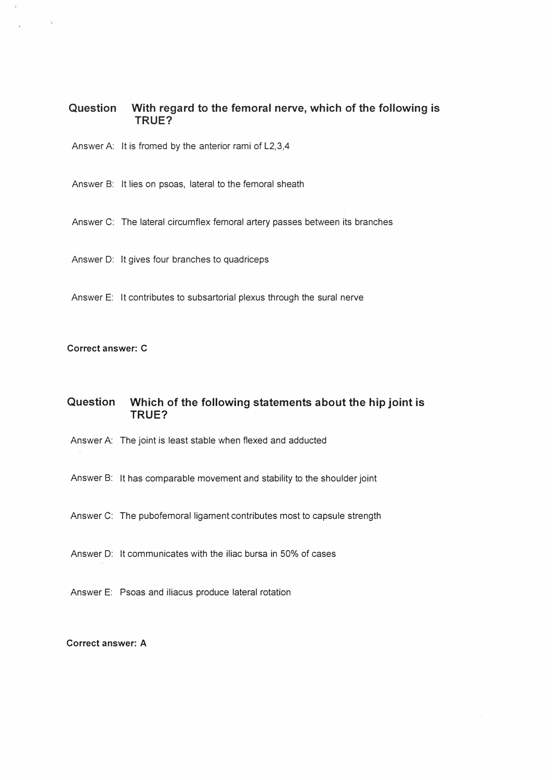# Question With regard to the femoral nerve, which of the following is TRUE?

Answer A: It is fromed by the anterior rami of  $L2,3,4$ 

Answer B: It lies on psoas, lateral to the femoral sheath

Answer C: The lateral circumflex femoral artery passes between its branches

Answer D: It gives four branches to quadriceps

Answer E: It contributes to subsartorial plexus through the sural nerve

### Correct answer: C

# Question Which of the following statements about the hip joint is TRUE?

Answer A: The joint is least stable when flexed and adducted

Answer B: It has comparable movement and stability to the shoulder joint

Answer C: The pubofemoral ligament contributes most to capsule strength

Answer D: It communicates with the iliac bursa in 50% of cases

Answer E: Psoas and iliacus produce lateral rotation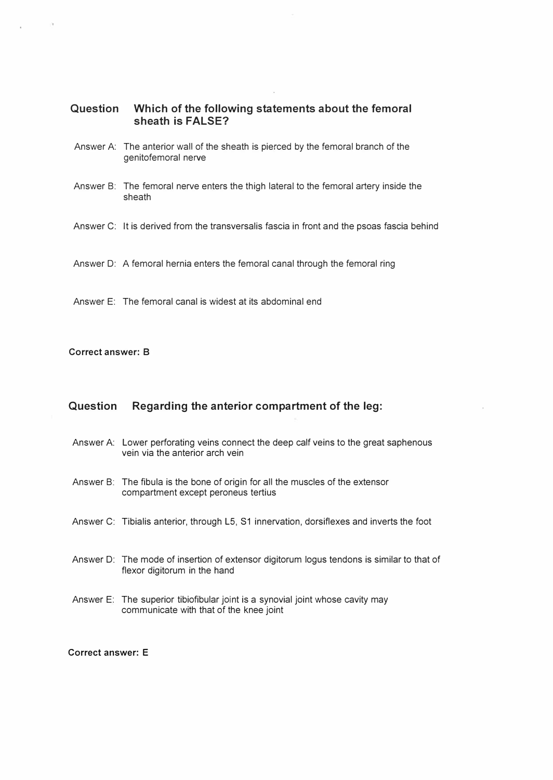## Question Which of the following statements about the femoral sheath is FALSE?

- Answer A: The anterior wall of the sheath is pierced by the femoral branch of the genitofemoral nerve
- Answer B: The femoral nerve enters the thigh lateral to the femoral artery inside the sheath
- Answer C: It is derived from the transversalis fascia in front and the psoas fascia behind
- Answer 0: A femoral hernia enters the femoral canal through the femoral ring

Answer E: The femoral canal is widest at its abdominal end

#### Correct answer: B

## Question Regarding the anterior compartment of the leg:

- Answer A: Lower perforating veins connect the deep calf veins to the great saphenous vein via the anterior arch vein
- Answer B: The fibula is the bone of origin for all the muscles of the extensor compartment except peroneus tertius
- Answer C: Tibialis anterior, through L5, S1 innervation, dorsiflexes and inverts the foot
- Answer 0: The mode of insertion of extensor digitorum logus tendons is similar to that of flexor digitorum in the hand
- Answer E: The superior tibiofibular joint is a synovial joint whose cavity may communicate with that of the knee joint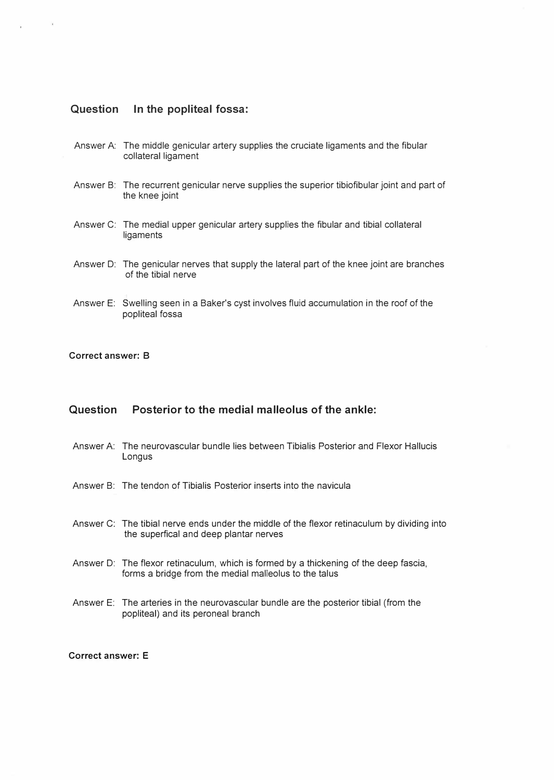## Question In the popliteal fossa:

- Answer A: The middle genicular artery supplies the cruciate ligaments and the fibular collateral ligament
- Answer B: The recurrent genicular nerve supplies the superior tibiofibular joint and part of the knee joint
- Answer C: The medial upper genicular artery supplies the fibular and tibial collateral **ligaments**
- Answer D: The genicular nerves that supply the lateral part of the knee joint are branches of the tibial nerve
- Answer E: Swelling seen in a Baker's cyst involves fluid accumulation in the roof of the popliteal fossa

#### Correct answer: B

## Question Posterior to the medial malleolus of the ankle:

- Answer A: The neurovascular bundle lies between Tibialis Posterior and Flexor Hallucis Longus
- Answer B: The tendon of Tibialis Posterior inserts into the navicula
- Answer C: The tibial nerve ends under the middle of the flexor retinaculum by dividing into the superfical and deep plantar nerves
- Answer D: The flexor retinaculum, which is formed by a thickening of the deep fascia, forms a bridge from the medial malleolus to the talus
- Answer E: The arteries in the neurovascular bundle are the posterior tibial (from the popliteal) and its peroneal branch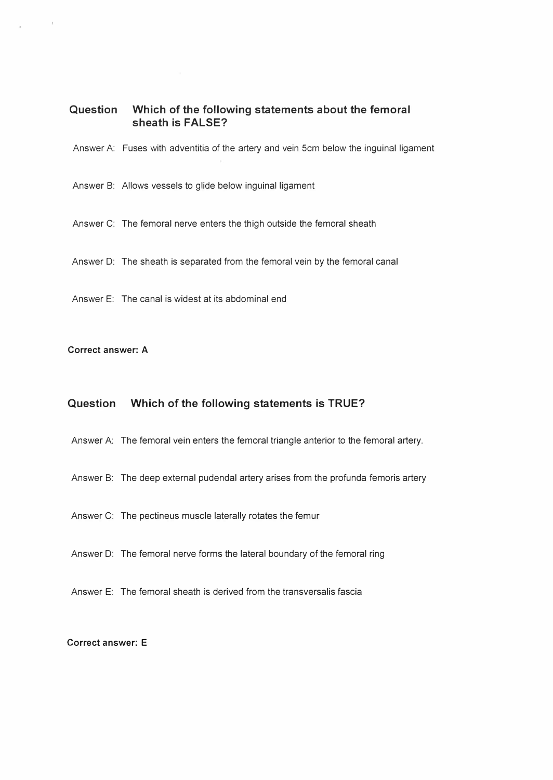# Question Which of the following statements about the femoral sheath is FALSE?

Answer A: Fuses with adventitia of the artery and vein 5cm below the inguinal ligament

Answer B: Allows vessels to glide below inguinal ligament

Answer C: The femoral nerve enters the thigh outside the femoral sheath

Answer 0: The sheath is separated from the femoral vein by the femoral canal

Answer E: The canal is widest at its abdominal end

### Correct answer: A

## Question Which of the following statements is TRUE?

Answer A: The femoral vein enters the femoral triangle anterior to the femoral artery.

- Answer B: The deep external pudendal artery arises from the profunda femoris artery
- Answer C: The pectineus muscle laterally rotates the femur
- Answer 0: The femoral nerve forms the lateral boundary of the femoral ring
- Answer E: The femoral sheath is derived from the transversalis fascia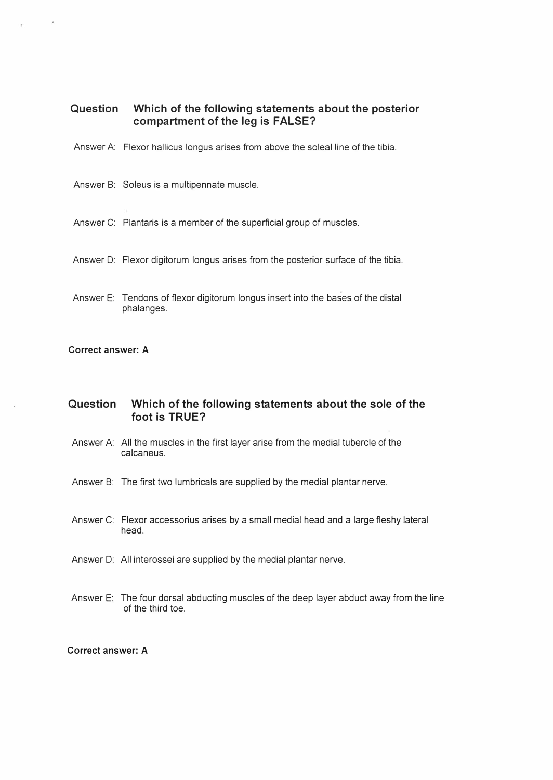# Question Which of the following statements about the posterior compartment of the leg is FALSE?

- Answer A: Flexor hallicus longus arises from above the soleal line of the tibia.
- Answer B: Soleus is a multipennate muscle.
- Answer C: Plantaris is a member of the superficial group of muscles.
- Answer 0: Flexor digitorum longus arises from the posterior surface of the tibia.
- Answer E: Tendons of flexor digitorum longus insert into the bases of the distal phalanges.

#### Correct answer: A

## Question Which of the following statements about the sole of the foot is TRUE?

- Answer A: All the muscles in the first layer arise from the medial tubercle of the calcaneus.
- Answer B: The first two lumbricals are supplied by the medial plantar nerve.
- Answer C: Flexor accessorius arises by a small medial head and a large fleshy lateral head.
- Answer 0: All interossei are supplied by the medial plantar nerve.
- Answer E: The four dorsal abducting muscles of the deep layer abduct away from the line of the third toe.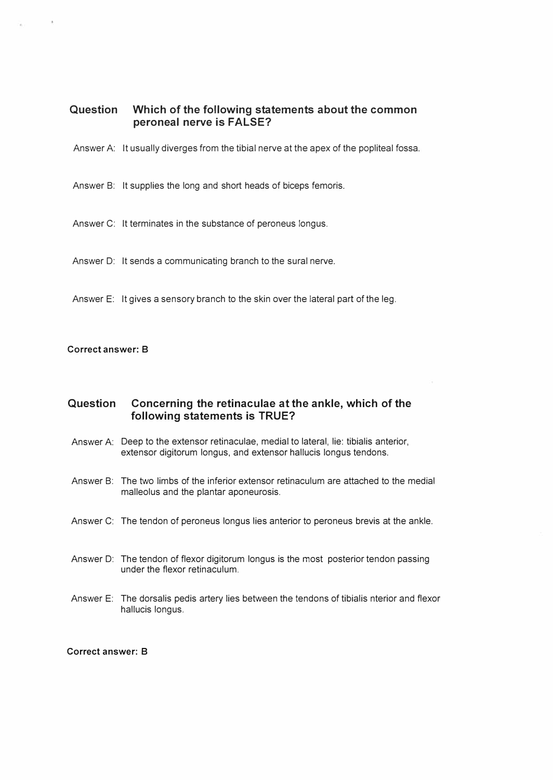# Question Which of the following statements about the common peroneal nerve is FALSE?

- Answer A: It usually diverges from the tibial nerve at the apex of the popliteal fossa.
- Answer B: It supplies the long and short heads of biceps femoris.
- Answer C: It terminates in the substance of peroneus longus.
- Answer D: It sends a communicating branch to the sural nerve.
- Answer E: It gives a sensory branch to the skin over the lateral part of the leg.

### Correct answer: B

## Question Concerning the retinaculae at the ankle, which of the following statements is TRUE?

- Answer A: Deep to the extensor retinaculae, medial to lateral, lie: tibialis anterior, extensor digitorum longus, and extensor hallucis longus tendons.
- Answer B: The two limbs of the inferior extensor retinaculum are attached to the medial malleolus and the plantar aponeurosis.
- Answer C: The tendon of peroneus longus lies anterior to peroneus brevis at the ankle.
- Answer D: The tendon of flexor digitorum longus is the most posterior tendon passing under the flexor retinaculum.
- Answer E: The dorsalis pedis artery lies between the tendons of tibialis nterior and flexor hallucis longus.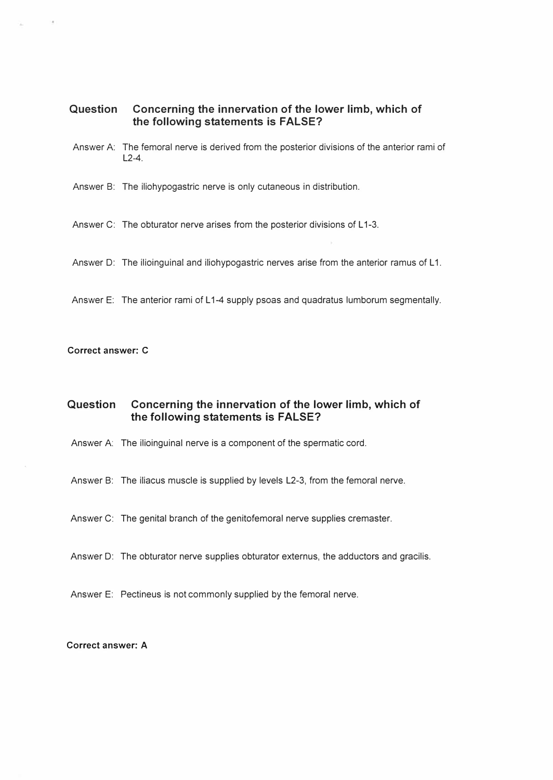## Question Concerning the innervation of the lower limb, which of the following statements is FALSE?

- Answer A: The femoral nerve is derived from the posterior divisions of the anterior rami of  $12-4$
- Answer B: The iliohypogastric nerve is only cutaneous in distribution.
- Answer C: The obturator nerve arises from the posterior divisions of L1-3.
- Answer D: The ilioinguinal and iliohypogastric nerves arise from the anterior ramus of L1.
- Answer E: The anterior rami of L1-4 supply psoas and quadratus lumborum segmentally.

#### Correct answer: C

## Question Concerning the innervation of the lower limb, which of the following statements is FALSE?

- Answer A: The ilioinguinal nerve is a component of the spermatic cord.
- Answer B: The iliacus muscle is supplied by levels L2-3, from the femoral nerve.
- Answer C: The genital branch of the genitofemoral nerve supplies cremaster.
- Answer D: The obturator nerve supplies obturator externus, the adductors and gracilis.
- Answer E: Pectineus is not commonly supplied by the femoral nerve.